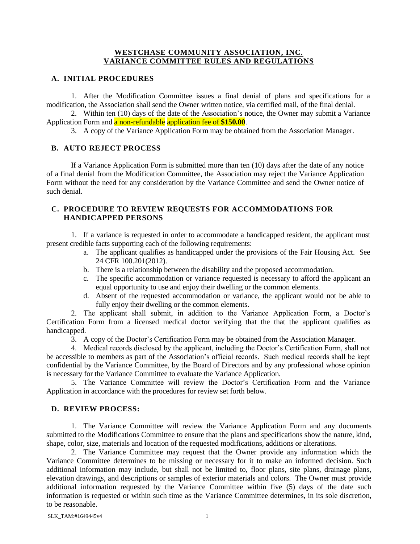## **WESTCHASE COMMUNITY ASSOCIATION, INC. VARIANCE COMMITTEE RULES AND REGULATIONS**

## **A. INITIAL PROCEDURES**

1. After the Modification Committee issues a final denial of plans and specifications for a modification, the Association shall send the Owner written notice, via certified mail, of the final denial.

2. Within ten (10) days of the date of the Association's notice, the Owner may submit a Variance Application Form and a non-refundable application fee of **\$150.00**.

3. A copy of the Variance Application Form may be obtained from the Association Manager.

## **B. AUTO REJECT PROCESS**

If a Variance Application Form is submitted more than ten (10) days after the date of any notice of a final denial from the Modification Committee, the Association may reject the Variance Application Form without the need for any consideration by the Variance Committee and send the Owner notice of such denial.

## **C. PROCEDURE TO REVIEW REQUESTS FOR ACCOMMODATIONS FOR HANDICAPPED PERSONS**

1. If a variance is requested in order to accommodate a handicapped resident, the applicant must present credible facts supporting each of the following requirements:

- a. The applicant qualifies as handicapped under the provisions of the Fair Housing Act. See 24 CFR 100.201(2012).
- b. There is a relationship between the disability and the proposed accommodation.
- c. The specific accommodation or variance requested is necessary to afford the applicant an equal opportunity to use and enjoy their dwelling or the common elements.
- d. Absent of the requested accommodation or variance, the applicant would not be able to fully enjoy their dwelling or the common elements.

2. The applicant shall submit, in addition to the Variance Application Form, a Doctor's Certification Form from a licensed medical doctor verifying that the that the applicant qualifies as handicapped.

3. A copy of the Doctor's Certification Form may be obtained from the Association Manager.

4. Medical records disclosed by the applicant, including the Doctor's Certification Form, shall not be accessible to members as part of the Association's official records. Such medical records shall be kept confidential by the Variance Committee, by the Board of Directors and by any professional whose opinion is necessary for the Variance Committee to evaluate the Variance Application.

5. The Variance Committee will review the Doctor's Certification Form and the Variance Application in accordance with the procedures for review set forth below.

# **D. REVIEW PROCESS:**

1. The Variance Committee will review the Variance Application Form and any documents submitted to the Modifications Committee to ensure that the plans and specifications show the nature, kind, shape, color, size, materials and location of the requested modifications, additions or alterations.

2. The Variance Committee may request that the Owner provide any information which the Variance Committee determines to be missing or necessary for it to make an informed decision. Such additional information may include, but shall not be limited to, floor plans, site plans, drainage plans, elevation drawings, and descriptions or samples of exterior materials and colors. The Owner must provide additional information requested by the Variance Committee within five (5) days of the date such information is requested or within such time as the Variance Committee determines, in its sole discretion, to be reasonable.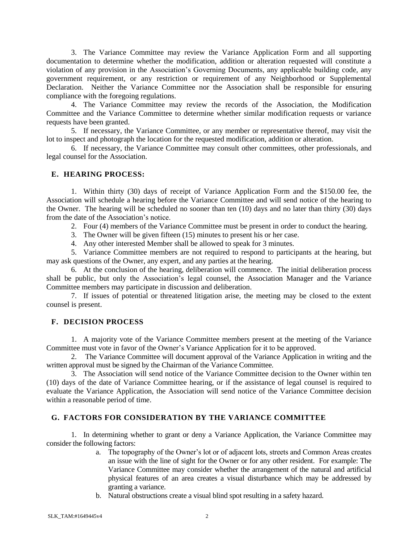3. The Variance Committee may review the Variance Application Form and all supporting documentation to determine whether the modification, addition or alteration requested will constitute a violation of any provision in the Association's Governing Documents, any applicable building code, any government requirement, or any restriction or requirement of any Neighborhood or Supplemental Declaration. Neither the Variance Committee nor the Association shall be responsible for ensuring compliance with the foregoing regulations.

4. The Variance Committee may review the records of the Association, the Modification Committee and the Variance Committee to determine whether similar modification requests or variance requests have been granted.

5. If necessary, the Variance Committee, or any member or representative thereof, may visit the lot to inspect and photograph the location for the requested modification, addition or alteration.

6. If necessary, the Variance Committee may consult other committees, other professionals, and legal counsel for the Association.

#### **E. HEARING PROCESS:**

1. Within thirty (30) days of receipt of Variance Application Form and the \$150.00 fee, the Association will schedule a hearing before the Variance Committee and will send notice of the hearing to the Owner. The hearing will be scheduled no sooner than ten (10) days and no later than thirty (30) days from the date of the Association's notice.

2. Four (4) members of the Variance Committee must be present in order to conduct the hearing.

3. The Owner will be given fifteen (15) minutes to present his or her case.

4. Any other interested Member shall be allowed to speak for 3 minutes.

5. Variance Committee members are not required to respond to participants at the hearing, but may ask questions of the Owner, any expert, and any parties at the hearing.

6. At the conclusion of the hearing, deliberation will commence. The initial deliberation process shall be public, but only the Association's legal counsel, the Association Manager and the Variance Committee members may participate in discussion and deliberation.

7. If issues of potential or threatened litigation arise, the meeting may be closed to the extent counsel is present.

#### **F. DECISION PROCESS**

1. A majority vote of the Variance Committee members present at the meeting of the Variance Committee must vote in favor of the Owner's Variance Application for it to be approved.

2. The Variance Committee will document approval of the Variance Application in writing and the written approval must be signed by the Chairman of the Variance Committee.

3. The Association will send notice of the Variance Committee decision to the Owner within ten (10) days of the date of Variance Committee hearing, or if the assistance of legal counsel is required to evaluate the Variance Application, the Association will send notice of the Variance Committee decision within a reasonable period of time.

# **G. FACTORS FOR CONSIDERATION BY THE VARIANCE COMMITTEE**

1. In determining whether to grant or deny a Variance Application, the Variance Committee may consider the following factors:

- a. The topography of the Owner's lot or of adjacent lots, streets and Common Areas creates an issue with the line of sight for the Owner or for any other resident. For example: The Variance Committee may consider whether the arrangement of the natural and artificial physical features of an area creates a visual disturbance which may be addressed by granting a variance.
- b. Natural obstructions create a visual blind spot resulting in a safety hazard.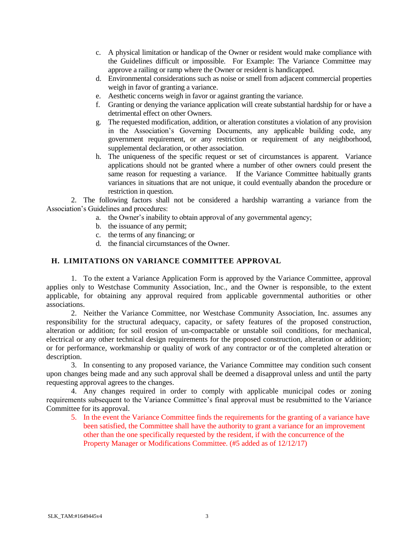- c. A physical limitation or handicap of the Owner or resident would make compliance with the Guidelines difficult or impossible. For Example: The Variance Committee may approve a railing or ramp where the Owner or resident is handicapped.
- d. Environmental considerations such as noise or smell from adjacent commercial properties weigh in favor of granting a variance.
- e. Aesthetic concerns weigh in favor or against granting the variance.
- f. Granting or denying the variance application will create substantial hardship for or have a detrimental effect on other Owners.
- g. The requested modification, addition, or alteration constitutes a violation of any provision in the Association's Governing Documents, any applicable building code, any government requirement, or any restriction or requirement of any neighborhood, supplemental declaration, or other association.
- h. The uniqueness of the specific request or set of circumstances is apparent. Variance applications should not be granted where a number of other owners could present the same reason for requesting a variance. If the Variance Committee habitually grants variances in situations that are not unique, it could eventually abandon the procedure or restriction in question.

2. The following factors shall not be considered a hardship warranting a variance from the Association's Guidelines and procedures:

- a. the Owner's inability to obtain approval of any governmental agency;
- b. the issuance of any permit;
- c. the terms of any financing; or
- d. the financial circumstances of the Owner.

# **H. LIMITATIONS ON VARIANCE COMMITTEE APPROVAL**

1. To the extent a Variance Application Form is approved by the Variance Committee, approval applies only to Westchase Community Association, Inc., and the Owner is responsible, to the extent applicable, for obtaining any approval required from applicable governmental authorities or other associations.

2. Neither the Variance Committee, nor Westchase Community Association, Inc. assumes any responsibility for the structural adequacy, capacity, or safety features of the proposed construction, alteration or addition; for soil erosion of un-compactable or unstable soil conditions, for mechanical, electrical or any other technical design requirements for the proposed construction, alteration or addition; or for performance, workmanship or quality of work of any contractor or of the completed alteration or description.

3. In consenting to any proposed variance, the Variance Committee may condition such consent upon changes being made and any such approval shall be deemed a disapproval unless and until the party requesting approval agrees to the changes.

4. Any changes required in order to comply with applicable municipal codes or zoning requirements subsequent to the Variance Committee's final approval must be resubmitted to the Variance Committee for its approval.

5. In the event the Variance Committee finds the requirements for the granting of a variance have been satisfied, the Committee shall have the authority to grant a variance for an improvement other than the one specifically requested by the resident, if with the concurrence of the Property Manager or Modifications Committee. (#5 added as of 12/12/17)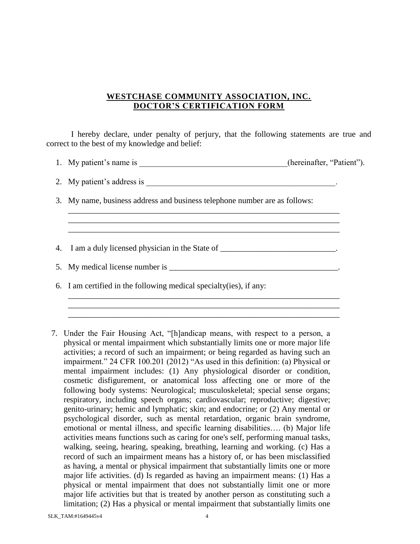# **WESTCHASE COMMUNITY ASSOCIATION, INC. DOCTOR'S CERTIFICATION FORM**

I hereby declare, under penalty of perjury, that the following statements are true and correct to the best of my knowledge and belief:

1. My patient's name is \_\_\_\_\_\_\_\_\_\_\_\_\_\_\_\_\_\_\_\_\_\_\_\_\_\_\_\_\_(hereinafter, "Patient").

\_\_\_\_\_\_\_\_\_\_\_\_\_\_\_\_\_\_\_\_\_\_\_\_\_\_\_\_\_\_\_\_\_\_\_\_\_\_\_\_\_\_\_\_\_\_\_\_\_\_\_\_\_\_\_\_\_\_\_\_\_\_\_\_\_\_ \_\_\_\_\_\_\_\_\_\_\_\_\_\_\_\_\_\_\_\_\_\_\_\_\_\_\_\_\_\_\_\_\_\_\_\_\_\_\_\_\_\_\_\_\_\_\_\_\_\_\_\_\_\_\_\_\_\_\_\_\_\_\_\_\_\_ \_\_\_\_\_\_\_\_\_\_\_\_\_\_\_\_\_\_\_\_\_\_\_\_\_\_\_\_\_\_\_\_\_\_\_\_\_\_\_\_\_\_\_\_\_\_\_\_\_\_\_\_\_\_\_\_\_\_\_\_\_\_\_\_\_\_

\_\_\_\_\_\_\_\_\_\_\_\_\_\_\_\_\_\_\_\_\_\_\_\_\_\_\_\_\_\_\_\_\_\_\_\_\_\_\_\_\_\_\_\_\_\_\_\_\_\_\_\_\_\_\_\_\_\_\_\_\_\_\_\_\_\_ \_\_\_\_\_\_\_\_\_\_\_\_\_\_\_\_\_\_\_\_\_\_\_\_\_\_\_\_\_\_\_\_\_\_\_\_\_\_\_\_\_\_\_\_\_\_\_\_\_\_\_\_\_\_\_\_\_\_\_\_\_\_\_\_\_\_ \_\_\_\_\_\_\_\_\_\_\_\_\_\_\_\_\_\_\_\_\_\_\_\_\_\_\_\_\_\_\_\_\_\_\_\_\_\_\_\_\_\_\_\_\_\_\_\_\_\_\_\_\_\_\_\_\_\_\_\_\_\_\_\_\_\_

2. My patient's address is

3. My name, business address and business telephone number are as follows:

4. I am a duly licensed physician in the State of \_\_\_\_\_\_\_\_\_\_\_\_\_\_\_\_\_\_\_\_\_\_\_\_.

5. My medical license number is

6. I am certified in the following medical specialty(ies), if any:

7. Under the Fair Housing Act, "[h]andicap means, with respect to a person, a physical or mental impairment which substantially limits one or more major life activities; a record of such an impairment; or being regarded as having such an impairment." 24 CFR 100.201 (2012) "As used in this definition: (a) Physical or mental impairment includes: (1) Any physiological disorder or condition, cosmetic disfigurement, or anatomical loss affecting one or more of the following body systems: Neurological; musculoskeletal; special sense organs; respiratory, including speech organs; cardiovascular; reproductive; digestive; genito-urinary; hemic and lymphatic; skin; and endocrine; or (2) Any mental or psychological disorder, such as mental retardation, organic brain syndrome, emotional or mental illness, and specific learning disabilities…. (b) Major life activities means functions such as caring for one's self, performing manual tasks, walking, seeing, hearing, speaking, breathing, learning and working. (c) Has a record of such an impairment means has a history of, or has been misclassified as having, a mental or physical impairment that substantially limits one or more major life activities. (d) Is regarded as having an impairment means: (1) Has a physical or mental impairment that does not substantially limit one or more major life activities but that is treated by another person as constituting such a limitation; (2) Has a physical or mental impairment that substantially limits one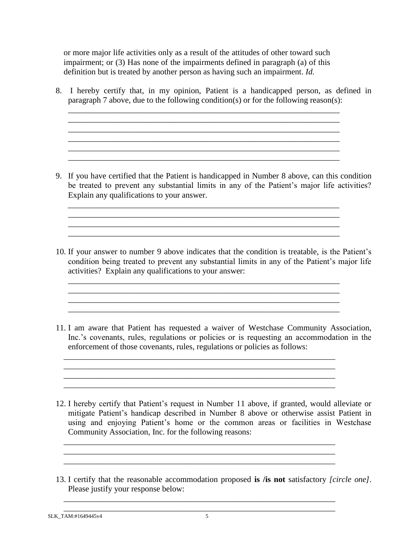or more major life activities only as a result of the attitudes of other toward such impairment; or (3) Has none of the impairments defined in paragraph (a) of this definition but is treated by another person as having such an impairment. *Id.*

8. I hereby certify that, in my opinion, Patient is a handicapped person, as defined in paragraph 7 above, due to the following condition(s) or for the following reason(s):

\_\_\_\_\_\_\_\_\_\_\_\_\_\_\_\_\_\_\_\_\_\_\_\_\_\_\_\_\_\_\_\_\_\_\_\_\_\_\_\_\_\_\_\_\_\_\_\_\_\_\_\_\_\_\_\_\_\_\_\_\_\_\_\_\_\_

\_\_\_\_\_\_\_\_\_\_\_\_\_\_\_\_\_\_\_\_\_\_\_\_\_\_\_\_\_\_\_\_\_\_\_\_\_\_\_\_\_\_\_\_\_\_\_\_\_\_\_\_\_\_\_\_\_\_\_\_\_\_\_\_\_\_

 $\mathcal{L}_\mathcal{L} = \mathcal{L}_\mathcal{L} = \mathcal{L}_\mathcal{L} = \mathcal{L}_\mathcal{L} = \mathcal{L}_\mathcal{L} = \mathcal{L}_\mathcal{L} = \mathcal{L}_\mathcal{L} = \mathcal{L}_\mathcal{L} = \mathcal{L}_\mathcal{L} = \mathcal{L}_\mathcal{L} = \mathcal{L}_\mathcal{L} = \mathcal{L}_\mathcal{L} = \mathcal{L}_\mathcal{L} = \mathcal{L}_\mathcal{L} = \mathcal{L}_\mathcal{L} = \mathcal{L}_\mathcal{L} = \mathcal{L}_\mathcal{L}$ 

9. If you have certified that the Patient is handicapped in Number 8 above, can this condition be treated to prevent any substantial limits in any of the Patient's major life activities? Explain any qualifications to your answer.

\_\_\_\_\_\_\_\_\_\_\_\_\_\_\_\_\_\_\_\_\_\_\_\_\_\_\_\_\_\_\_\_\_\_\_\_\_\_\_\_\_\_\_\_\_\_\_\_\_\_\_\_\_\_\_\_\_\_\_\_\_\_\_\_\_\_

10. If your answer to number 9 above indicates that the condition is treatable, is the Patient's condition being treated to prevent any substantial limits in any of the Patient's major life activities? Explain any qualifications to your answer:

\_\_\_\_\_\_\_\_\_\_\_\_\_\_\_\_\_\_\_\_\_\_\_\_\_\_\_\_\_\_\_\_\_\_\_\_\_\_\_\_\_\_\_\_\_\_\_\_\_\_\_\_\_\_\_\_\_\_\_\_\_\_\_\_\_\_ \_\_\_\_\_\_\_\_\_\_\_\_\_\_\_\_\_\_\_\_\_\_\_\_\_\_\_\_\_\_\_\_\_\_\_\_\_\_\_\_\_\_\_\_\_\_\_\_\_\_\_\_\_\_\_\_\_\_\_\_\_\_\_\_\_\_ \_\_\_\_\_\_\_\_\_\_\_\_\_\_\_\_\_\_\_\_\_\_\_\_\_\_\_\_\_\_\_\_\_\_\_\_\_\_\_\_\_\_\_\_\_\_\_\_\_\_\_\_\_\_\_\_\_\_\_\_\_\_\_\_\_\_

\_\_\_\_\_\_\_\_\_\_\_\_\_\_\_\_\_\_\_\_\_\_\_\_\_\_\_\_\_\_\_\_\_\_\_\_\_\_\_\_\_\_\_\_\_\_\_\_\_\_\_\_\_\_\_\_\_\_\_\_\_\_\_\_\_\_

\_\_\_\_\_\_\_\_\_\_\_\_\_\_\_\_\_\_\_\_\_\_\_\_\_\_\_\_\_\_\_\_\_\_\_\_\_\_\_\_\_\_\_\_\_\_\_\_\_\_\_\_\_\_\_\_\_\_\_\_\_\_\_\_\_\_

\_\_\_\_\_\_\_\_\_\_\_\_\_\_\_\_\_\_\_\_\_\_\_\_\_\_\_\_\_\_\_\_\_\_\_\_\_\_\_\_\_\_\_\_\_\_\_\_\_\_\_\_\_\_\_\_\_\_\_\_\_\_\_\_\_\_

\_\_\_\_\_\_\_\_\_\_\_\_\_\_\_\_\_\_\_\_\_\_\_\_\_\_\_\_\_\_\_\_\_\_\_\_\_\_\_\_\_\_\_\_\_\_\_\_\_\_\_\_\_\_\_\_\_\_\_\_\_\_\_\_\_\_ \_\_\_\_\_\_\_\_\_\_\_\_\_\_\_\_\_\_\_\_\_\_\_\_\_\_\_\_\_\_\_\_\_\_\_\_\_\_\_\_\_\_\_\_\_\_\_\_\_\_\_\_\_\_\_\_\_\_\_\_\_\_\_\_\_\_

\_\_\_\_\_\_\_\_\_\_\_\_\_\_\_\_\_\_\_\_\_\_\_\_\_\_\_\_\_\_\_\_\_\_\_\_\_\_\_\_\_\_\_\_\_\_\_\_\_\_\_\_\_\_\_\_\_\_\_\_\_\_\_\_\_\_

\_\_\_\_\_\_\_\_\_\_\_\_\_\_\_\_\_\_\_\_\_\_\_\_\_\_\_\_\_\_\_\_\_\_\_\_\_\_\_\_\_\_\_\_\_\_\_\_\_\_\_\_\_\_\_\_\_\_\_\_\_\_\_\_\_\_

- 11. I am aware that Patient has requested a waiver of Westchase Community Association, Inc.'s covenants, rules, regulations or policies or is requesting an accommodation in the enforcement of those covenants, rules, regulations or policies as follows:
- 12. I hereby certify that Patient's request in Number 11 above, if granted, would alleviate or mitigate Patient's handicap described in Number 8 above or otherwise assist Patient in using and enjoying Patient's home or the common areas or facilities in Westchase Community Association, Inc. for the following reasons:
- 13. I certify that the reasonable accommodation proposed **is /is not** satisfactory *[circle one]*. Please justify your response below:

\_\_\_\_\_\_\_\_\_\_\_\_\_\_\_\_\_\_\_\_\_\_\_\_\_\_\_\_\_\_\_\_\_\_\_\_\_\_\_\_\_\_\_\_\_\_\_\_\_\_\_\_\_\_\_\_\_\_\_\_\_\_\_\_\_\_

SLK\_TAM:#1649445v4 5 \_\_\_\_\_\_\_\_\_\_\_\_\_\_\_\_\_\_\_\_\_\_\_\_\_\_\_\_\_\_\_\_\_\_\_\_\_\_\_\_\_\_\_\_\_\_\_\_\_\_\_\_\_\_\_\_\_\_\_\_\_\_\_\_\_\_